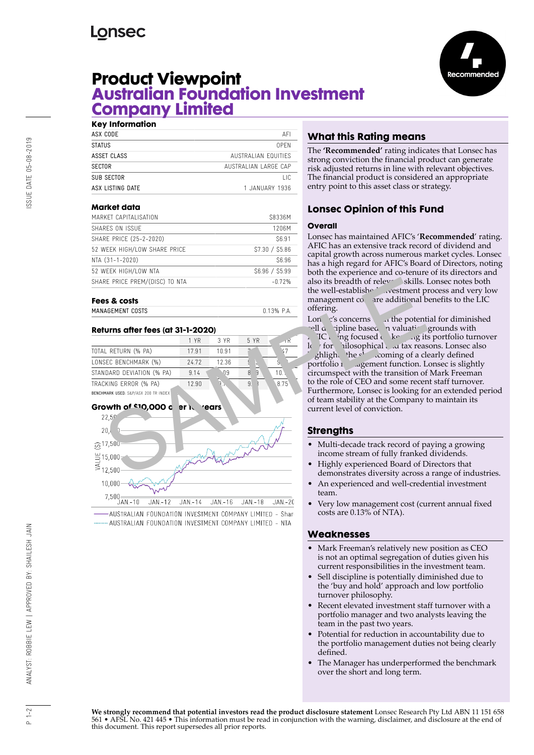# **Lonsec**



# **Product Viewpoint Australian Foundation Investment Company Limited**

| <b>Key Information</b> |                      |
|------------------------|----------------------|
| ASX CODE               | AFI                  |
| <b>STATUS</b>          | OPEN                 |
| ASSET CLASS            | AUSTRALIAN FOUITIFS  |
| <b>SECTOR</b>          | AUSTRALIAN LARGE CAP |
| SUB SECTOR             | ПC                   |
| ASX LISTING DATE       | 1.JANIJARY 1936      |
|                        |                      |

### **Market data**

| .                              |               |
|--------------------------------|---------------|
| MARKET CAPITALISATION          | S8336M        |
| SHARES ON ISSUE                | 1206M         |
| SHARE PRICE (25-2-2020)        | S6.91         |
| 52 WEEK HIGH/LOW SHARE PRICE   | S7.30 / S5.86 |
| NTA (31-1-2020)                | S6.96         |
| 52 WEEK HIGH/LOW NTA           | S6.96 / S5.99 |
| SHARE PRICE PREM/(DISC) TO NTA | $-0.72%$      |
|                                |               |

## **Fees & costs**

| MANAGEMENT COSTS | $0.13%$ P.A. |  |
|------------------|--------------|--|
|                  |              |  |

### **Returns after fees (at 31-1-2020)**

|                                      | 1 YR  | 3 YR  | 5 YR |                 |
|--------------------------------------|-------|-------|------|-----------------|
| TOTAL RETURN (% PA)                  | 17.91 | 10.91 |      |                 |
| LONSEC BENCHMARK (%)                 | 24.72 | 12.36 |      |                 |
| STANDARD DEVIATION (% PA)            | 9.14  | Λ9    | 8    | 10 <sup>1</sup> |
| TRACKING ERROR (% PA)                | 12.90 |       | 9    | 8.75            |
| BENCHMARK USED: S&P/ASX 200 TR INDEX |       |       |      |                 |

#### **Growth of \$10,000 over 10 years**



AUSTRALIAN FOUNDATION INVESTMENT COMPANY LIMITED - Shar AUSTRALIAN FOUNDATION INVESTMENT COMPANY LIMITED - NTA

# **What this Rating means**

The **'Recommended'** rating indicates that Lonsec has strong conviction the financial product can generate risk adjusted returns in line with relevant objectives. The financial product is considered an appropriate entry point to this asset class or strategy.

## **Lonsec Opinion of this Fund**

### **Overall**

Lonsec has maintained AFIC's '**Recommended**' rating. AFIC has an extensive track record of dividend and capital growth across numerous market cycles. Lonsec has a high regard for AFIC's Board of Directors, noting both the experience and co-tenure of its directors and also its breadth of releval skills. Lonsec notes both the well-established investment process and very low management  $\cos$  are additional benefits to the LIC offering.

Lon  $\zeta'$ 's concerns with the potential for diminished  $\text{cell } \alpha$  ipline based n valuation grounds with

 $\lambda$  FIC being focused on keeping its portfolio turnover le for philosophical and tax reasons. Lonsec also  $\phi$ high, the show coming of a clearly defined portfolio 1 agement function. Lonsec is slightly circumspect with the transition of Mark Freeman to the role of CEO and some recent staff turnover. Furthermore, Lonsec is looking for an extended period of team stability at the Company to maintain its current level of conviction.

## **Strengths**

- Multi-decade track record of paying a growing income stream of fully franked dividends.
- Highly experienced Board of Directors that demonstrates diversity across a range of industries.
- An experienced and well-credential investment team.
- Very low management cost (current annual fixed costs are 0.13% of NTA).

### **Weaknesses**

- Mark Freeman's relatively new position as CEO is not an optimal segregation of duties given his current responsibilities in the investment team.
- Sell discipline is potentially diminished due to the 'buy and hold' approach and low portfolio turnover philosophy.
- Recent elevated investment staff turnover with a portfolio manager and two analysts leaving the team in the past two years.
- Potential for reduction in accountability due to the portfolio management duties not being clearly defined.
- The Manager has underperformed the benchmark over the short and long term.

 $1 - 2$